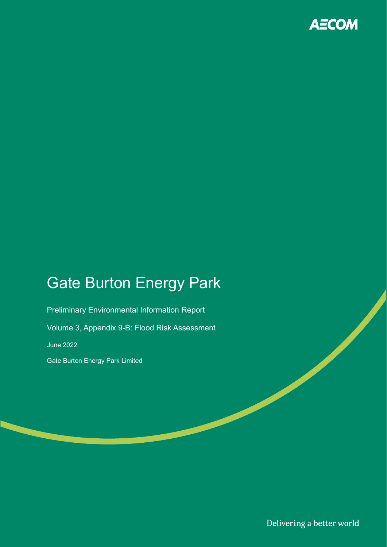

# Gate Burton Energy Park

Preliminary Environmental Information Report Volume 3, Appendix 9-B: Flood Risk Assessment June 2022 Gate Burton Energy Park Limited

Delivering a better world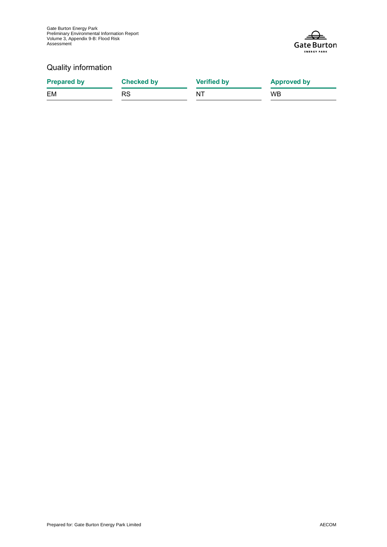

### Quality information

| <b>Prepared by</b> | <b>Checked by</b> | <b>Verified by</b> | <b>Approved by</b> |
|--------------------|-------------------|--------------------|--------------------|
| EM                 | RS                | NT                 | <b>WB</b>          |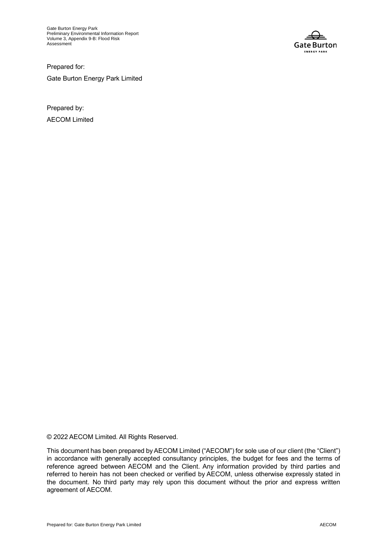Gate Burton Energy Park Preliminary Environmental Information Report Volume 3, Appendix 9-B: Flood Risk Assessment



Prepared for: Gate Burton Energy Park Limited

Prepared by: AECOM Limited

© 2022 AECOM Limited. All Rights Reserved.

This document has been prepared by AECOM Limited ("AECOM") for sole use of our client (the "Client") in accordance with generally accepted consultancy principles, the budget for fees and the terms of reference agreed between AECOM and the Client. Any information provided by third parties and referred to herein has not been checked or verified by AECOM, unless otherwise expressly stated in the document. No third party may rely upon this document without the prior and express written agreement of AECOM.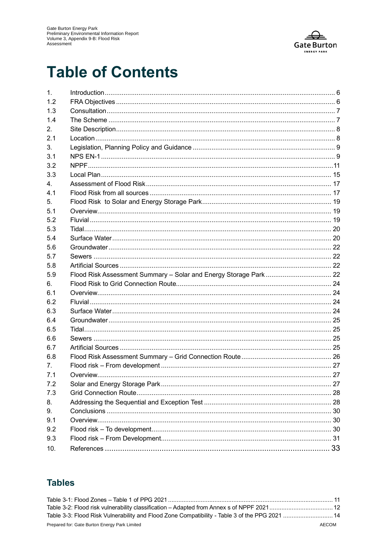

# **Table of Contents**

| 1.      |  |
|---------|--|
| 1.2     |  |
| 1.3     |  |
| 1.4     |  |
| 2.      |  |
| 2.1     |  |
| 3.      |  |
| 3.1     |  |
| 3.2     |  |
| 3.3     |  |
| $4_{-}$ |  |
| 4.1     |  |
| 5.      |  |
| 5.1     |  |
| 5.2     |  |
| 5.3     |  |
| 5.4     |  |
| 5.6     |  |
| 5.7     |  |
| 5.8     |  |
| 5.9     |  |
| 6.      |  |
| 6.1     |  |
| 6.2     |  |
| 6.3     |  |
| 6.4     |  |
| 6.5     |  |
| 6.6     |  |
| 6.7     |  |
| 6.8     |  |
| 7.      |  |
| 7.1     |  |
| 7.2     |  |
| 7.3     |  |
| 8.      |  |
| 9.      |  |
| 9.1     |  |
| 9.2     |  |
| 9.3     |  |
| 10.     |  |

### **Tables**

| Table 3-2: Flood risk vulnerability classification – Adapted from Annex s of NPPF 2021 12     |        |
|-----------------------------------------------------------------------------------------------|--------|
| Table 3-3: Flood Risk Vulnerability and Flood Zone Compatibility - Table 3 of the PPG 2021 14 |        |
| Description Onto Director France Dealer laster d                                              | 100011 |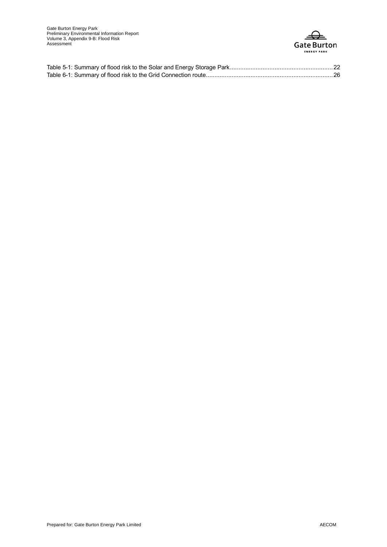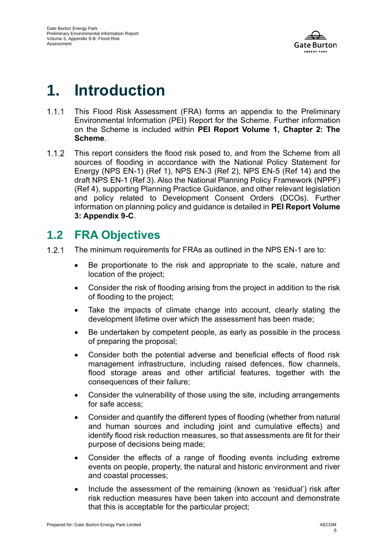

# **1. Introduction**

- $1.1.1$ This Flood Risk Assessment (FRA) forms an appendix to the Preliminary Environmental Information (PEI) Report for the Scheme. Further information on the Scheme is included within **PEI Report Volume 1, Chapter 2: The Scheme**.
- $1.1.2$ This report considers the flood risk posed to, and from the Scheme from all sources of flooding in accordance with the National Policy Statement for Energy (NPS EN-1) (Ref 1), NPS EN-3 (Ref 2), NPS EN-5 (Ref 14) and the draft NPS EN-1 (Ref 3). Also the National Planning Policy Framework (NPPF) (Ref 4), supporting Planning Practice Guidance, and other relevant legislation and policy related to Development Consent Orders (DCOs). Further information on planning policy and guidance is detailed in **PEI Report Volume 3: Appendix 9-C**.

## **1.2 FRA Objectives**

- $1.2.1$ The minimum requirements for FRAs as outlined in the NPS EN-1 are to:
	- Be proportionate to the risk and appropriate to the scale, nature and location of the project;
	- Consider the risk of flooding arising from the project in addition to the risk of flooding to the project;
	- Take the impacts of climate change into account, clearly stating the development lifetime over which the assessment has been made;
	- Be undertaken by competent people, as early as possible in the process of preparing the proposal;
	- Consider both the potential adverse and beneficial effects of flood risk management infrastructure, including raised defences, flow channels, flood storage areas and other artificial features, together with the consequences of their failure;
	- Consider the vulnerability of those using the site, including arrangements for safe access;
	- Consider and quantify the different types of flooding (whether from natural and human sources and including joint and cumulative effects) and identify flood risk reduction measures, so that assessments are fit for their purpose of decisions being made;
	- Consider the effects of a range of flooding events including extreme events on people, property, the natural and historic environment and river and coastal processes;
	- Include the assessment of the remaining (known as 'residual') risk after risk reduction measures have been taken into account and demonstrate that this is acceptable for the particular project;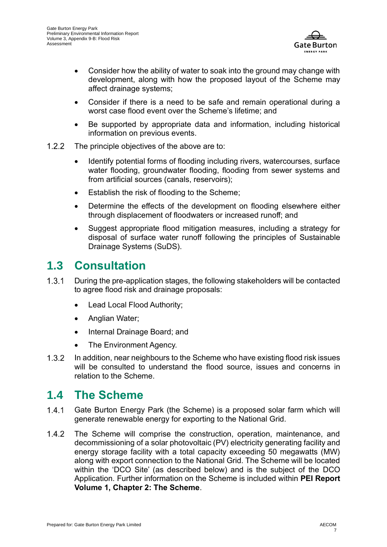

- Consider how the ability of water to soak into the ground may change with development, along with how the proposed layout of the Scheme may affect drainage systems;
- Consider if there is a need to be safe and remain operational during a worst case flood event over the Scheme's lifetime; and
- Be supported by appropriate data and information, including historical information on previous events.
- $1.2.2$ The principle objectives of the above are to:
	- Identify potential forms of flooding including rivers, watercourses, surface water flooding, groundwater flooding, flooding from sewer systems and from artificial sources (canals, reservoirs);
	- Establish the risk of flooding to the Scheme;
	- Determine the effects of the development on flooding elsewhere either through displacement of floodwaters or increased runoff; and
	- Suggest appropriate flood mitigation measures, including a strategy for disposal of surface water runoff following the principles of Sustainable Drainage Systems (SuDS).

### **1.3 Consultation**

- $1.3.1$ During the pre-application stages, the following stakeholders will be contacted to agree flood risk and drainage proposals:
	- Lead Local Flood Authority;
	- Anglian Water;
	- Internal Drainage Board; and
	- The Environment Agency.
- $1.3.2$ In addition, near neighbours to the Scheme who have existing flood risk issues will be consulted to understand the flood source, issues and concerns in relation to the Scheme.

### **1.4 The Scheme**

- $141$ Gate Burton Energy Park (the Scheme) is a proposed solar farm which will generate renewable energy for exporting to the National Grid.
- $1.4.2$ The Scheme will comprise the construction, operation, maintenance, and decommissioning of a solar photovoltaic (PV) electricity generating facility and energy storage facility with a total capacity exceeding 50 megawatts (MW) along with export connection to the National Grid. The Scheme will be located within the 'DCO Site' (as described below) and is the subject of the DCO Application. Further information on the Scheme is included within **PEI Report Volume 1, Chapter 2: The Scheme**.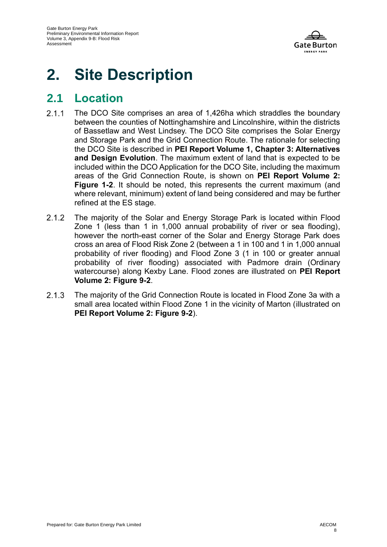

# **2. Site Description**

## **2.1 Location**

- $2.1.1$ The DCO Site comprises an area of 1,426ha which straddles the boundary between the counties of Nottinghamshire and Lincolnshire, within the districts of Bassetlaw and West Lindsey. The DCO Site comprises the Solar Energy and Storage Park and the Grid Connection Route. The rationale for selecting the DCO Site is described in **PEI Report Volume 1, Chapter 3: Alternatives and Design Evolution**. The maximum extent of land that is expected to be included within the DCO Application for the DCO Site, including the maximum areas of the Grid Connection Route, is shown on **PEI Report Volume 2: Figure 1-2**. It should be noted, this represents the current maximum (and where relevant, minimum) extent of land being considered and may be further refined at the ES stage.
- $2.1.2$ The majority of the Solar and Energy Storage Park is located within Flood Zone 1 (less than 1 in 1,000 annual probability of river or sea flooding), however the north-east corner of the Solar and Energy Storage Park does cross an area of Flood Risk Zone 2 (between a 1 in 100 and 1 in 1,000 annual probability of river flooding) and Flood Zone 3 (1 in 100 or greater annual probability of river flooding) associated with Padmore drain (Ordinary watercourse) along Kexby Lane. Flood zones are illustrated on **PEI Report Volume 2: Figure 9-2**.
- $2.1.3$ The majority of the Grid Connection Route is located in Flood Zone 3a with a small area located within Flood Zone 1 in the vicinity of Marton (illustrated on **PEI Report Volume 2: Figure 9-2**).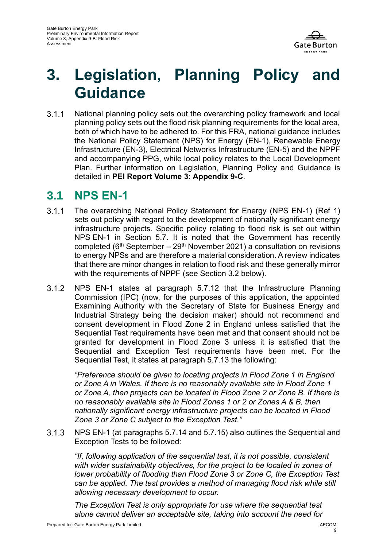

# **3. Legislation, Planning Policy and Guidance**

National planning policy sets out the overarching policy framework and local  $3.1.1$ planning policy sets out the flood risk planning requirements for the local area, both of which have to be adhered to. For this FRA, national guidance includes the National Policy Statement (NPS) for Energy (EN-1), Renewable Energy Infrastructure (EN-3), Electrical Networks Infrastructure (EN-5) and the NPPF and accompanying PPG, while local policy relates to the Local Development Plan. Further information on Legislation, Planning Policy and Guidance is detailed in **PEI Report Volume 3: Appendix 9-C**.

### **3.1 NPS EN-1**

- $3.1.1$ The overarching National Policy Statement for Energy (NPS EN-1) (Ref 1) sets out policy with regard to the development of nationally significant energy infrastructure projects. Specific policy relating to flood risk is set out within NPS EN-1 in Section 5.7. It is noted that the Government has recently completed ( $6<sup>th</sup>$  September – 29<sup>th</sup> November 2021) a consultation on revisions to energy NPSs and are therefore a material consideration. A review indicates that there are minor changes in relation to flood risk and these generally mirror with the requirements of NPPF (see Section 3.2 below).
- $3.1.2$ NPS EN-1 states at paragraph 5.7.12 that the Infrastructure Planning Commission (IPC) (now, for the purposes of this application, the appointed Examining Authority with the Secretary of State for Business Energy and Industrial Strategy being the decision maker) should not recommend and consent development in Flood Zone 2 in England unless satisfied that the Sequential Test requirements have been met and that consent should not be granted for development in Flood Zone 3 unless it is satisfied that the Sequential and Exception Test requirements have been met. For the Sequential Test, it states at paragraph 5.7.13 the following:

*"Preference should be given to locating projects in Flood Zone 1 in England or Zone A in Wales. If there is no reasonably available site in Flood Zone 1 or Zone A, then projects can be located in Flood Zone 2 or Zone B. If there is no reasonably available site in Flood Zones 1 or 2 or Zones A & B, then nationally significant energy infrastructure projects can be located in Flood Zone 3 or Zone C subject to the Exception Test."*

 $3.1.3$ NPS EN-1 (at paragraphs 5.7.14 and 5.7.15) also outlines the Sequential and Exception Tests to be followed:

*"If, following application of the sequential test, it is not possible, consistent with wider sustainability objectives, for the project to be located in zones of lower probability of flooding than Flood Zone 3 or Zone C, the Exception Test can be applied. The test provides a method of managing flood risk while still allowing necessary development to occur.*

*The Exception Test is only appropriate for use where the sequential test alone cannot deliver an acceptable site, taking into account the need for*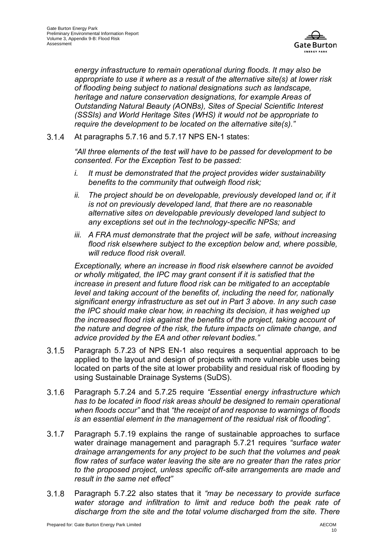

*energy infrastructure to remain operational during floods. It may also be appropriate to use it where as a result of the alternative site(s) at lower risk of flooding being subject to national designations such as landscape, heritage and nature conservation designations, for example Areas of Outstanding Natural Beauty (AONBs), Sites of Special Scientific Interest (SSSIs) and World Heritage Sites (WHS) it would not be appropriate to require the development to be located on the alternative site(s)."*

 $3.1.4$ At paragraphs 5.7.16 and 5.7.17 NPS EN-1 states:

> *"All three elements of the test will have to be passed for development to be consented. For the Exception Test to be passed:*

- *i. It must be demonstrated that the project provides wider sustainability benefits to the community that outweigh flood risk;*
- ii. The project should be on developable, previously developed land or, if it *is not on previously developed land, that there are no reasonable alternative sites on developable previously developed land subject to any exceptions set out in the technology-specific NPSs; and*
- *iii. A FRA must demonstrate that the project will be safe, without increasing flood risk elsewhere subject to the exception below and, where possible, will reduce flood risk overall.*

*Exceptionally, where an increase in flood risk elsewhere cannot be avoided or wholly mitigated, the IPC may grant consent if it is satisfied that the increase in present and future flood risk can be mitigated to an acceptable level and taking account of the benefits of, including the need for, nationally significant energy infrastructure as set out in Part 3 above. In any such case the IPC should make clear how, in reaching its decision, it has weighed up the increased flood risk against the benefits of the project, taking account of the nature and degree of the risk, the future impacts on climate change, and advice provided by the EA and other relevant bodies."*

- $3.1.5$ Paragraph 5.7.23 of NPS EN-1 also requires a sequential approach to be applied to the layout and design of projects with more vulnerable uses being located on parts of the site at lower probability and residual risk of flooding by using Sustainable Drainage Systems (SuDS).
- $3.1.6$ Paragraph 5.7.24 and 5.7.25 require *"Essential energy infrastructure which has to be located in flood risk areas should be designed to remain operational when floods occur"* and that *"the receipt of and response to warnings of floods is an essential element in the management of the residual risk of flooding".*
- $3.1.7$ Paragraph 5.7.19 explains the range of sustainable approaches to surface water drainage management and paragraph 5.7.21 requires *"surface water drainage arrangements for any project to be such that the volumes and peak flow rates of surface water leaving the site are no greater than the rates prior to the proposed project, unless specific off-site arrangements are made and result in the same net effect"*
- $3.1.8$ Paragraph 5.7.22 also states that it *"may be necessary to provide surface water storage and infiltration to limit and reduce both the peak rate of discharge from the site and the total volume discharged from the site. There*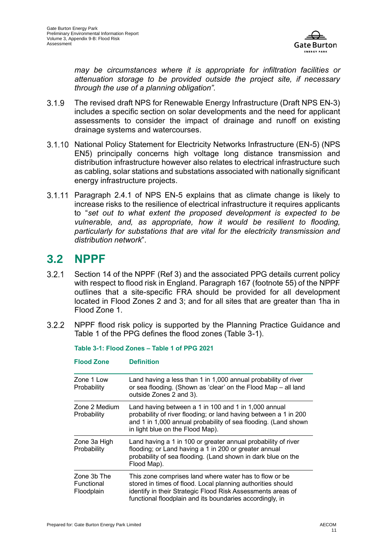

*may be circumstances where it is appropriate for infiltration facilities or attenuation storage to be provided outside the project site, if necessary through the use of a planning obligation".*

- $3.1.9$ The revised draft NPS for Renewable Energy Infrastructure (Draft NPS EN-3) includes a specific section on solar developments and the need for applicant assessments to consider the impact of drainage and runoff on existing drainage systems and watercourses.
- 3.1.10 National Policy Statement for Electricity Networks Infrastructure (EN-5) (NPS EN5) principally concerns high voltage long distance transmission and distribution infrastructure however also relates to electrical infrastructure such as cabling, solar stations and substations associated with nationally significant energy infrastructure projects.
- 3.1.11 Paragraph 2.4.1 of NPS EN-5 explains that as climate change is likely to increase risks to the resilience of electrical infrastructure it requires applicants to "*set out to what extent the proposed development is expected to be vulnerable, and, as appropriate, how it would be resilient to flooding, particularly for substations that are vital for the electricity transmission and distribution network*".

### **3.2 NPPF**

- $3.2.1$ Section 14 of the NPPF (Ref 3) and the associated PPG details current policy with respect to flood risk in England. Paragraph 167 (footnote 55) of the NPPF outlines that a site-specific FRA should be provided for all development located in Flood Zones 2 and 3; and for all sites that are greater than 1ha in Flood Zone 1.
- <span id="page-10-0"></span> $3.2.2$ NPPF flood risk policy is supported by the Planning Practice Guidance and Table 1 of the PPG defines the flood zones (Table 3-1).

| Zone 1 Low<br>Probability               | Land having a less than 1 in 1,000 annual probability of river<br>or sea flooding. (Shown as 'clear' on the Flood Map - all land<br>outside Zones 2 and 3).                                                                                      |
|-----------------------------------------|--------------------------------------------------------------------------------------------------------------------------------------------------------------------------------------------------------------------------------------------------|
| Zone 2 Medium<br>Probability            | Land having between a 1 in 100 and 1 in 1,000 annual<br>probability of river flooding; or land having between a 1 in 200<br>and 1 in 1,000 annual probability of sea flooding. (Land shown<br>in light blue on the Flood Map).                   |
| Zone 3a High<br>Probability             | Land having a 1 in 100 or greater annual probability of river<br>flooding; or Land having a 1 in 200 or greater annual<br>probability of sea flooding. (Land shown in dark blue on the<br>Flood Map).                                            |
| Zone 3b The<br>Functional<br>Floodplain | This zone comprises land where water has to flow or be<br>stored in times of flood. Local planning authorities should<br>identify in their Strategic Flood Risk Assessments areas of<br>functional floodplain and its boundaries accordingly, in |

**Table 3-1: Flood Zones – Table 1 of PPG 2021**

**Flood Zone Definition**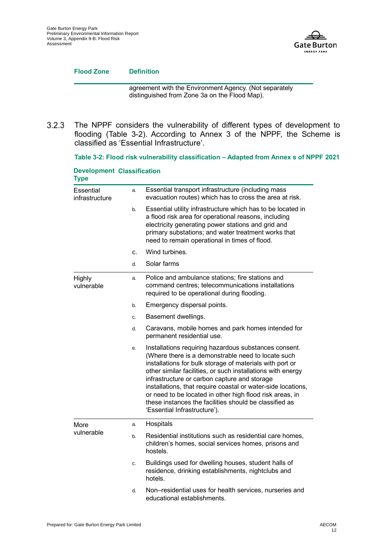

#### **Flood Zone Definition**

agreement with the Environment Agency. (Not separately distinguished from Zone 3a on the Flood Map).

 $3.2.3$ The NPPF considers the vulnerability of different types of development to flooding (Table 3-2). According to Annex 3 of the NPPF, the Scheme is classified as 'Essential Infrastructure'.

<span id="page-11-0"></span>**Table 3-2: Flood risk vulnerability classification – Adapted from Annex s of NPPF 2021**

| <b>Development Classification</b><br><b>Type</b> |    |                                                                                                                                                                                                                                                                                                                                                                                                                                                                                                              |
|--------------------------------------------------|----|--------------------------------------------------------------------------------------------------------------------------------------------------------------------------------------------------------------------------------------------------------------------------------------------------------------------------------------------------------------------------------------------------------------------------------------------------------------------------------------------------------------|
| Essential<br>infrastructure                      | a. | Essential transport infrastructure (including mass<br>evacuation routes) which has to cross the area at risk.                                                                                                                                                                                                                                                                                                                                                                                                |
|                                                  | b. | Essential utility infrastructure which has to be located in<br>a flood risk area for operational reasons, including<br>electricity generating power stations and grid and<br>primary substations; and water treatment works that<br>need to remain operational in times of flood.                                                                                                                                                                                                                            |
|                                                  | C. | Wind turbines.                                                                                                                                                                                                                                                                                                                                                                                                                                                                                               |
|                                                  | d. | Solar farms                                                                                                                                                                                                                                                                                                                                                                                                                                                                                                  |
| Highly<br>vulnerable                             | a. | Police and ambulance stations; fire stations and<br>command centres; telecommunications installations<br>required to be operational during flooding.                                                                                                                                                                                                                                                                                                                                                         |
|                                                  | b. | Emergency dispersal points.                                                                                                                                                                                                                                                                                                                                                                                                                                                                                  |
|                                                  | c. | Basement dwellings.                                                                                                                                                                                                                                                                                                                                                                                                                                                                                          |
|                                                  | d. | Caravans, mobile homes and park homes intended for<br>permanent residential use.                                                                                                                                                                                                                                                                                                                                                                                                                             |
|                                                  | е. | Installations requiring hazardous substances consent.<br>(Where there is a demonstrable need to locate such<br>installations for bulk storage of materials with port or<br>other similar facilities, or such installations with energy<br>infrastructure or carbon capture and storage<br>installations, that require coastal or water-side locations,<br>or need to be located in other high flood risk areas, in<br>these instances the facilities should be classified as<br>'Essential Infrastructure'). |
| More                                             | a. | Hospitals                                                                                                                                                                                                                                                                                                                                                                                                                                                                                                    |
| vulnerable                                       | b. | Residential institutions such as residential care homes,<br>children's homes, social services homes, prisons and<br>hostels.                                                                                                                                                                                                                                                                                                                                                                                 |
|                                                  | c. | Buildings used for dwelling houses, student halls of<br>residence, drinking establishments, nightclubs and<br>hotels.                                                                                                                                                                                                                                                                                                                                                                                        |
|                                                  | d. | Non-residential uses for health services, nurseries and<br>educational establishments.                                                                                                                                                                                                                                                                                                                                                                                                                       |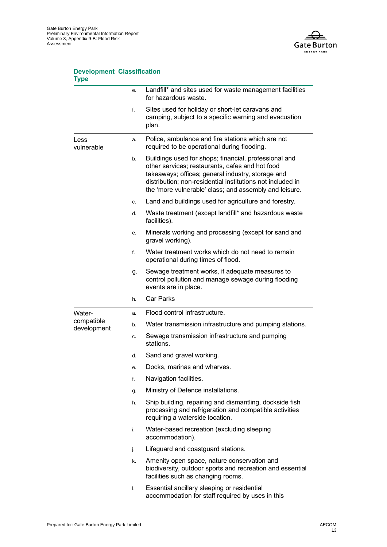

#### **Development Classification Type**

|                           | е. | Landfill* and sites used for waste management facilities<br>for hazardous waste.                                                                                                                                                                                                      |
|---------------------------|----|---------------------------------------------------------------------------------------------------------------------------------------------------------------------------------------------------------------------------------------------------------------------------------------|
|                           | f. | Sites used for holiday or short-let caravans and<br>camping, subject to a specific warning and evacuation<br>plan.                                                                                                                                                                    |
| Less<br>vulnerable        | a. | Police, ambulance and fire stations which are not<br>required to be operational during flooding.                                                                                                                                                                                      |
|                           | b. | Buildings used for shops; financial, professional and<br>other services; restaurants, cafes and hot food<br>takeaways; offices; general industry, storage and<br>distribution; non-residential institutions not included in<br>the 'more vulnerable' class; and assembly and leisure. |
|                           | c. | Land and buildings used for agriculture and forestry.                                                                                                                                                                                                                                 |
|                           | d. | Waste treatment (except landfill* and hazardous waste<br>facilities).                                                                                                                                                                                                                 |
|                           | e. | Minerals working and processing (except for sand and<br>gravel working).                                                                                                                                                                                                              |
|                           | f. | Water treatment works which do not need to remain<br>operational during times of flood.                                                                                                                                                                                               |
|                           | g. | Sewage treatment works, if adequate measures to<br>control pollution and manage sewage during flooding<br>events are in place.                                                                                                                                                        |
|                           | h. | <b>Car Parks</b>                                                                                                                                                                                                                                                                      |
| Water-                    | a. | Flood control infrastructure.                                                                                                                                                                                                                                                         |
| compatible<br>development | b. | Water transmission infrastructure and pumping stations.                                                                                                                                                                                                                               |
|                           | c. | Sewage transmission infrastructure and pumping<br>stations.                                                                                                                                                                                                                           |
|                           | d. | Sand and gravel working.                                                                                                                                                                                                                                                              |
|                           | е. | Docks, marinas and wharves.                                                                                                                                                                                                                                                           |
|                           | f. | Navigation facilities.                                                                                                                                                                                                                                                                |
|                           | g. | Ministry of Defence installations.                                                                                                                                                                                                                                                    |
|                           | h. | Ship building, repairing and dismantling, dockside fish<br>processing and refrigeration and compatible activities<br>requiring a waterside location.                                                                                                                                  |
|                           | i. | Water-based recreation (excluding sleeping<br>accommodation).                                                                                                                                                                                                                         |
|                           | j. | Lifeguard and coastguard stations.                                                                                                                                                                                                                                                    |
|                           | k. | Amenity open space, nature conservation and<br>biodiversity, outdoor sports and recreation and essential<br>facilities such as changing rooms.                                                                                                                                        |
|                           | I. | Essential ancillary sleeping or residential<br>accommodation for staff required by uses in this                                                                                                                                                                                       |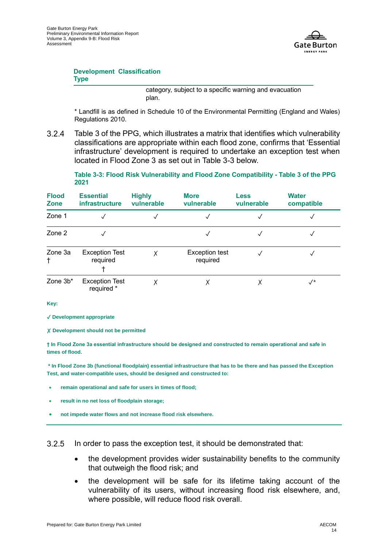

#### **Development Classification Type**

category, subject to a specific warning and evacuation plan.

\* Landfill is as defined in Schedule 10 of the Environmental Permitting (England and Wales) Regulations 2010.

 $3.2.4$ Table 3 of the PPG, which illustrates a matrix that identifies which vulnerability classifications are appropriate within each flood zone, confirms that 'Essential infrastructure' development is required to undertake an exception test when located in Flood Zone 3 as set out in Table 3-3 below.

**Table 3-3: Flood Risk Vulnerability and Flood Zone Compatibility - Table 3 of the PPG 2021**

<span id="page-13-0"></span>

| <b>Flood</b><br><b>Zone</b> | <b>Essential</b><br><i>infrastructure</i> | <b>Highly</b><br>vulnerable | <b>More</b><br>vulnerable         | <b>Less</b><br>vulnerable | <b>Water</b><br>compatible |
|-----------------------------|-------------------------------------------|-----------------------------|-----------------------------------|---------------------------|----------------------------|
| Zone 1                      |                                           |                             |                                   |                           |                            |
| Zone 2                      |                                           |                             |                                   |                           |                            |
| Zone 3a<br>t                | <b>Exception Test</b><br>required         | Χ                           | <b>Exception test</b><br>required |                           |                            |
| Zone 3b*                    | <b>Exception Test</b><br>required *       |                             |                                   | у                         | $\sqrt{ }$                 |

**Key:** 

✓ **Development appropriate**

✗ **Development should not be permitted**

**† In Flood Zone 3a essential infrastructure should be designed and constructed to remain operational and safe in times of flood.**

**\* In Flood Zone 3b (functional floodplain) essential infrastructure that has to be there and has passed the Exception Test, and water-compatible uses, should be designed and constructed to:** 

- **remain operational and safe for users in times of flood;**
- **result in no net loss of floodplain storage;**
- **not impede water flows and not increase flood risk elsewhere.**

 $3.2.5$ In order to pass the exception test, it should be demonstrated that:

- the development provides wider sustainability benefits to the community that outweigh the flood risk; and
- the development will be safe for its lifetime taking account of the vulnerability of its users, without increasing flood risk elsewhere, and, where possible, will reduce flood risk overall.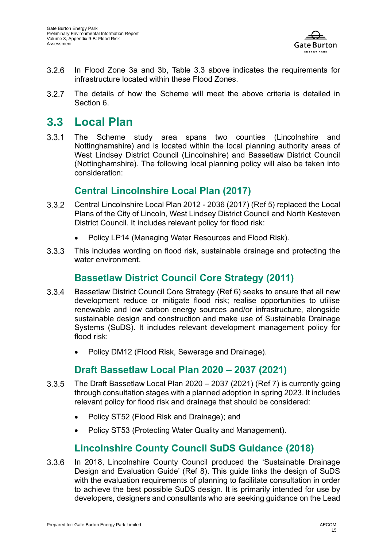

- $3.2.6$ In Flood Zone 3a and 3b, Table 3.3 above indicates the requirements for infrastructure located within these Flood Zones.
- $3.2.7$ The details of how the Scheme will meet the above criteria is detailed in Section 6.

## **3.3 Local Plan**

 $3.3.1$ The Scheme study area spans two counties (Lincolnshire and Nottinghamshire) and is located within the local planning authority areas of West Lindsey District Council (Lincolnshire) and Bassetlaw District Council (Nottinghamshire). The following local planning policy will also be taken into consideration:

### **Central Lincolnshire Local Plan (2017)**

- $3.3.2$ Central Lincolnshire Local Plan 2012 - 2036 (2017) (Ref 5) replaced the Local Plans of the City of Lincoln, West Lindsey District Council and North Kesteven District Council. It includes relevant policy for flood risk:
	- Policy LP14 (Managing Water Resources and Flood Risk).
- $3.3.3$ This includes wording on flood risk, sustainable drainage and protecting the water environment.

### **Bassetlaw District Council Core Strategy (2011)**

- $3.3.4$ Bassetlaw District Council Core Strategy (Ref 6) seeks to ensure that all new development reduce or mitigate flood risk; realise opportunities to utilise renewable and low carbon energy sources and/or infrastructure, alongside sustainable design and construction and make use of Sustainable Drainage Systems (SuDS). It includes relevant development management policy for flood risk:
	- Policy DM12 (Flood Risk, Sewerage and Drainage).

### **Draft Bassetlaw Local Plan 2020 – 2037 (2021)**

- The Draft Bassetlaw Local Plan 2020 2037 (2021) (Ref 7) is currently going  $3.3.5$ through consultation stages with a planned adoption in spring 2023. It includes relevant policy for flood risk and drainage that should be considered:
	- Policy ST52 (Flood Risk and Drainage); and
	- Policy ST53 (Protecting Water Quality and Management).

### **Lincolnshire County Council SuDS Guidance (2018)**

 $3.3.6$ In 2018, Lincolnshire County Council produced the 'Sustainable Drainage Design and Evaluation Guide' (Ref 8). This guide links the design of SuDS with the evaluation requirements of planning to facilitate consultation in order to achieve the best possible SuDS design. It is primarily intended for use by developers, designers and consultants who are seeking guidance on the Lead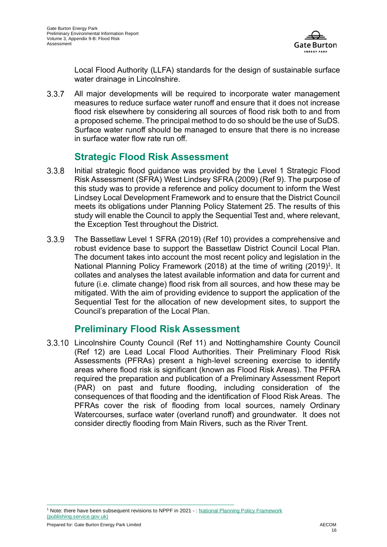

Local Flood Authority (LLFA) standards for the design of sustainable surface water drainage in Lincolnshire.

All major developments will be required to incorporate water management  $3.3.7$ measures to reduce surface water runoff and ensure that it does not increase flood risk elsewhere by considering all sources of flood risk both to and from a proposed scheme. The principal method to do so should be the use of SuDS. Surface water runoff should be managed to ensure that there is no increase in surface water flow rate run off.

### **Strategic Flood Risk Assessment**

- $3.3.8$ Initial strategic flood guidance was provided by the Level 1 Strategic Flood Risk Assessment (SFRA) West Lindsey SFRA (2009) (Ref 9). The purpose of this study was to provide a reference and policy document to inform the West Lindsey Local Development Framework and to ensure that the District Council meets its obligations under Planning Policy Statement 25. The results of this study will enable the Council to apply the Sequential Test and, where relevant, the Exception Test throughout the District.
- $3.3.9$ The Bassetlaw Level 1 SFRA (2019) (Ref 10) provides a comprehensive and robust evidence base to support the Bassetlaw District Council Local Plan. The document takes into account the most recent policy and legislation in the National Planning Policy Framework (2018) at the time of writing (2019)<sup>1</sup>. It collates and analyses the latest available information and data for current and future (i.e. climate change) flood risk from all sources, and how these may be mitigated. With the aim of providing evidence to support the application of the Sequential Test for the allocation of new development sites, to support the Council's preparation of the Local Plan.

### **Preliminary Flood Risk Assessment**

Lincolnshire County Council (Ref 11) and Nottinghamshire County Council (Ref 12) are Lead Local Flood Authorities. Their Preliminary Flood Risk Assessments (PFRAs) present a high-level screening exercise to identify areas where flood risk is significant (known as Flood Risk Areas). The PFRA required the preparation and publication of a Preliminary Assessment Report (PAR) on past and future flooding, including consideration of the consequences of that flooding and the identification of Flood Risk Areas. The PFRAs cover the risk of flooding from local sources, namely Ordinary Watercourses, surface water (overland runoff) and groundwater. It does not consider directly flooding from Main Rivers, such as the River Trent.

<sup>&</sup>lt;sup>1</sup> Note: there have been subsequent revisions to NPPF in 2021  $\cdot$ : National Planning Policy Framework [\(publishing.service.gov.uk\)](https://assets.publishing.service.gov.uk/government/uploads/system/uploads/attachment_data/file/1005759/NPPF_July_2021.pdf)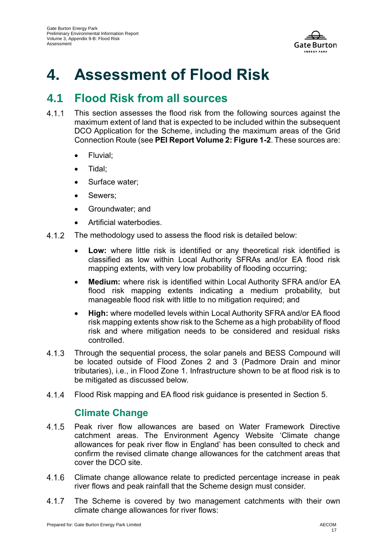

# **4. Assessment of Flood Risk**

## **4.1 Flood Risk from all sources**

- $4.1.1$ This section assesses the flood risk from the following sources against the maximum extent of land that is expected to be included within the subsequent DCO Application for the Scheme, including the maximum areas of the Grid Connection Route (see **PEI Report Volume 2: Figure 1-2**. These sources are:
	- Fluvial;
	- Tidal;
	- Surface water:
	- Sewers;
	- Groundwater; and
	- Artificial waterbodies.
- $4.1.2$ The methodology used to assess the flood risk is detailed below:
	- **Low:** where little risk is identified or any theoretical risk identified is classified as low within Local Authority SFRAs and/or EA flood risk mapping extents, with very low probability of flooding occurring;
	- **Medium:** where risk is identified within Local Authority SFRA and/or EA flood risk mapping extents indicating a medium probability, but manageable flood risk with little to no mitigation required; and
	- **High:** where modelled levels within Local Authority SFRA and/or EA flood risk mapping extents show risk to the Scheme as a high probability of flood risk and where mitigation needs to be considered and residual risks controlled.
- $4.1.3$ Through the sequential process, the solar panels and BESS Compound will be located outside of Flood Zones 2 and 3 (Padmore Drain and minor tributaries), i.e., in Flood Zone 1. Infrastructure shown to be at flood risk is to be mitigated as discussed below.
- $4.1.4$ Flood Risk mapping and EA flood risk guidance is presented in Section 5.

### **Climate Change**

- Peak river flow allowances are based on Water Framework Directive  $4.1.5$ catchment areas. The Environment Agency Website 'Climate change allowances for peak river flow in England' has been consulted to check and confirm the revised climate change allowances for the catchment areas that cover the DCO site.
- $4.1.6$ Climate change allowance relate to predicted percentage increase in peak river flows and peak rainfall that the Scheme design must consider.
- $4.1.7$ The Scheme is covered by two management catchments with their own climate change allowances for river flows: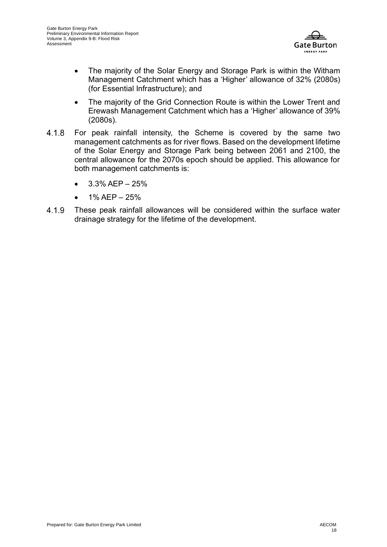

- The majority of the Solar Energy and Storage Park is within the Witham Management Catchment which has a 'Higher' allowance of 32% (2080s) (for Essential Infrastructure); and
- The majority of the Grid Connection Route is within the Lower Trent and Erewash Management Catchment which has a 'Higher' allowance of 39% (2080s).
- 4.1.8 For peak rainfall intensity, the Scheme is covered by the same two management catchments as for river flows. Based on the development lifetime of the Solar Energy and Storage Park being between 2061 and 2100, the central allowance for the 2070s epoch should be applied. This allowance for both management catchments is:
	- $3.3\%$  AEP  $-25\%$
	- 1% AEP 25%
- 4.1.9 These peak rainfall allowances will be considered within the surface water drainage strategy for the lifetime of the development.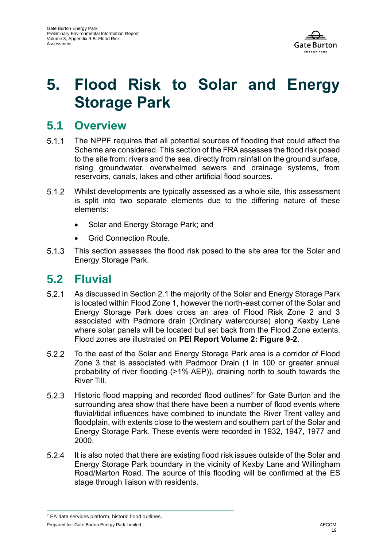

# **5. Flood Risk to Solar and Energy Storage Park**

### **5.1 Overview**

- $511$ The NPPF requires that all potential sources of flooding that could affect the Scheme are considered. This section of the FRA assesses the flood risk posed to the site from: rivers and the sea, directly from rainfall on the ground surface, rising groundwater, overwhelmed sewers and drainage systems, from reservoirs, canals, lakes and other artificial flood sources.
- $5.1.2$ Whilst developments are typically assessed as a whole site, this assessment is split into two separate elements due to the differing nature of these elements:
	- Solar and Energy Storage Park; and
	- Grid Connection Route.
- $5.1.3$ This section assesses the flood risk posed to the site area for the Solar and Energy Storage Park.

### **5.2 Fluvial**

- $5.2.1$ As discussed in Section 2.1 the majority of the Solar and Energy Storage Park is located within Flood Zone 1, however the north-east corner of the Solar and Energy Storage Park does cross an area of Flood Risk Zone 2 and 3 associated with Padmore drain (Ordinary watercourse) along Kexby Lane where solar panels will be located but set back from the Flood Zone extents. Flood zones are illustrated on **PEI Report Volume 2: Figure 9-2**.
- 5.2.2 To the east of the Solar and Energy Storage Park area is a corridor of Flood Zone 3 that is associated with Padmoor Drain (1 in 100 or greater annual probability of river flooding (>1% AEP)), draining north to south towards the River Till.
- $5.2.3$ Historic flood mapping and recorded flood outlines<sup>2</sup> for Gate Burton and the surrounding area show that there have been a number of flood events where fluvial/tidal influences have combined to inundate the River Trent valley and floodplain, with extents close to the western and southern part of the Solar and Energy Storage Park. These events were recorded in 1932, 1947, 1977 and 2000.
- $5.2.4$ It is also noted that there are existing flood risk issues outside of the Solar and Energy Storage Park boundary in the vicinity of Kexby Lane and Willingham Road/Marton Road. The source of this flooding will be confirmed at the ES stage through liaison with residents.

<sup>2</sup> EA data services platform, historic flood outlines.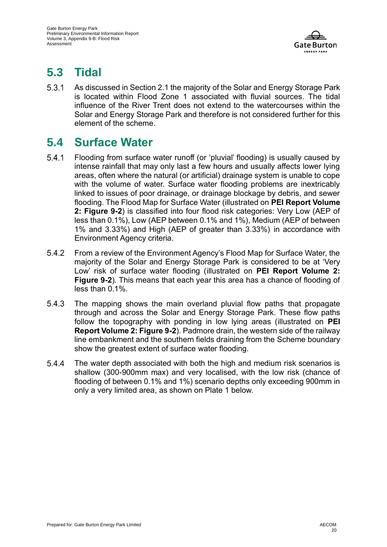

# **5.3 Tidal**

 $5.3.1$ As discussed in Section 2.1 the majority of the Solar and Energy Storage Park is located within Flood Zone 1 associated with fluvial sources. The tidal influence of the River Trent does not extend to the watercourses within the Solar and Energy Storage Park and therefore is not considered further for this element of the scheme.

## **5.4 Surface Water**

- $5.4.1$ Flooding from surface water runoff (or 'pluvial' flooding) is usually caused by intense rainfall that may only last a few hours and usually affects lower lying areas, often where the natural (or artificial) drainage system is unable to cope with the volume of water. Surface water flooding problems are inextricably linked to issues of poor drainage, or drainage blockage by debris, and sewer flooding. The Flood Map for Surface Water (illustrated on **PEI Report Volume 2: Figure 9-2**) is classified into four flood risk categories: Very Low (AEP of less than 0.1%), Low (AEP between 0.1% and 1%), Medium (AEP of between 1% and 3.33%) and High (AEP of greater than 3.33%) in accordance with Environment Agency criteria.
- $5.4.2$ From a review of the Environment Agency's Flood Map for Surface Water, the majority of the Solar and Energy Storage Park is considered to be at 'Very Low' risk of surface water flooding (illustrated on **PEI Report Volume 2: Figure 9-2**). This means that each year this area has a chance of flooding of less than 0.1%.
- 5.4.3 The mapping shows the main overland pluvial flow paths that propagate through and across the Solar and Energy Storage Park. These flow paths follow the topography with ponding in low lying areas (illustrated on **PEI Report Volume 2: Figure 9-2**). Padmore drain, the western side of the railway line embankment and the southern fields draining from the Scheme boundary show the greatest extent of surface water flooding.
- $5.4.4$ The water depth associated with both the high and medium risk scenarios is shallow (300-900mm max) and very localised, with the low risk (chance of flooding of between 0.1% and 1%) scenario depths only exceeding 900mm in only a very limited area, as shown on Plate 1 below.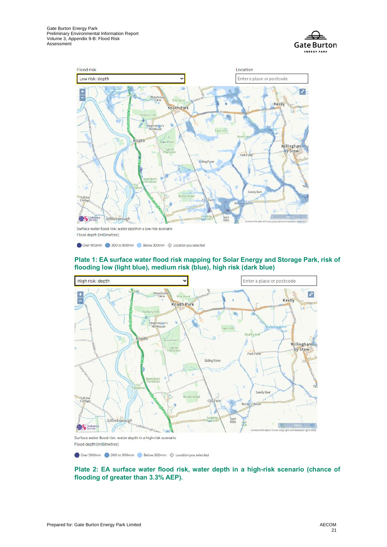



Flood depth (millimetres)

Over 900mm 300 to 900mm Below 300mm  $\oplus$  Location you selected

#### **Plate 1: EA surface water flood risk mapping for Solar Energy and Storage Park, risk of flooding low (light blue), medium risk (blue), high risk (dark blue)**



Surface water flood risk: water depth in a high risk scenario Flood depth (millimetres)

Over 900mm 300 to 900mm Below 300mm  $\oplus$  Location you selected

#### **Plate 2: EA surface water flood risk, water depth in a high-risk scenario (chance of flooding of greater than 3.3% AEP).**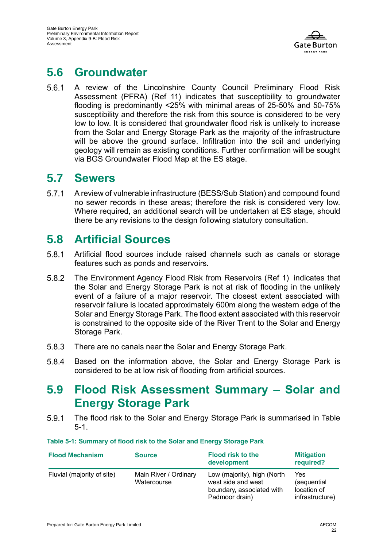

## **5.6 Groundwater**

 $5.6.1$ A review of the Lincolnshire County Council Preliminary Flood Risk Assessment (PFRA) (Ref 11) indicates that susceptibility to groundwater flooding is predominantly <25% with minimal areas of 25-50% and 50-75% susceptibility and therefore the risk from this source is considered to be very low to low. It is considered that groundwater flood risk is unlikely to increase from the Solar and Energy Storage Park as the majority of the infrastructure will be above the ground surface. Infiltration into the soil and underlying geology will remain as existing conditions. Further confirmation will be sought via BGS Groundwater Flood Map at the ES stage.

### **5.7 Sewers**

 $5.7.1$ A review of vulnerable infrastructure (BESS/Sub Station) and compound found no sewer records in these areas; therefore the risk is considered very low. Where required, an additional search will be undertaken at ES stage, should there be any revisions to the design following statutory consultation.

## **5.8 Artificial Sources**

- $5.8.1$ Artificial flood sources include raised channels such as canals or storage features such as ponds and reservoirs.
- 5.8.2 The Environment Agency Flood Risk from Reservoirs (Ref 1) indicates that the Solar and Energy Storage Park is not at risk of flooding in the unlikely event of a failure of a major reservoir. The closest extent associated with reservoir failure is located approximately 600m along the western edge of the Solar and Energy Storage Park. The flood extent associated with this reservoir is constrained to the opposite side of the River Trent to the Solar and Energy Storage Park.
- 5.8.3 There are no canals near the Solar and Energy Storage Park.
- 5.8.4 Based on the information above, the Solar and Energy Storage Park is considered to be at low risk of flooding from artificial sources.

### **5.9 Flood Risk Assessment Summary – Solar and Energy Storage Park**

 $5.9.1$ The flood risk to the Solar and Energy Storage Park is summarised in Table 5-1.

#### <span id="page-21-0"></span>**Table 5-1: Summary of flood risk to the Solar and Energy Storage Park**

| <b>Flood Mechanism</b>     | <b>Source</b>                        | <b>Flood risk to the</b><br>development                                                          | <b>Mitigation</b><br>required?                              |
|----------------------------|--------------------------------------|--------------------------------------------------------------------------------------------------|-------------------------------------------------------------|
| Fluvial (majority of site) | Main River / Ordinary<br>Watercourse | Low (majority), high (North<br>west side and west<br>boundary, associated with<br>Padmoor drain) | <b>Yes</b><br>(sequential<br>location of<br>infrastructure) |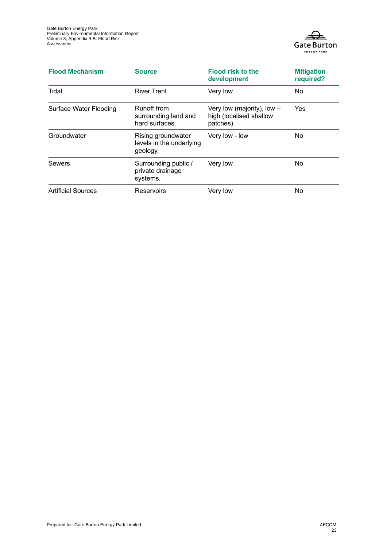

| <b>Flood Mechanism</b>        | <b>Source</b>                                              | <b>Flood risk to the</b><br>development                             | <b>Mitigation</b><br>required? |
|-------------------------------|------------------------------------------------------------|---------------------------------------------------------------------|--------------------------------|
| Tidal                         | <b>River Trent</b>                                         | Very low                                                            | <b>No</b>                      |
| <b>Surface Water Flooding</b> | Runoff from<br>surrounding land and<br>hard surfaces.      | Very low (majority), low $-$<br>high (localised shallow<br>patches) | <b>Yes</b>                     |
| Groundwater                   | Rising groundwater<br>levels in the underlying<br>geology. | Very low - low                                                      | No                             |
| Sewers                        | Surrounding public /<br>private drainage<br>systems.       | Very low                                                            | No                             |
| <b>Artificial Sources</b>     | <b>Reservoirs</b>                                          | Very low                                                            | No                             |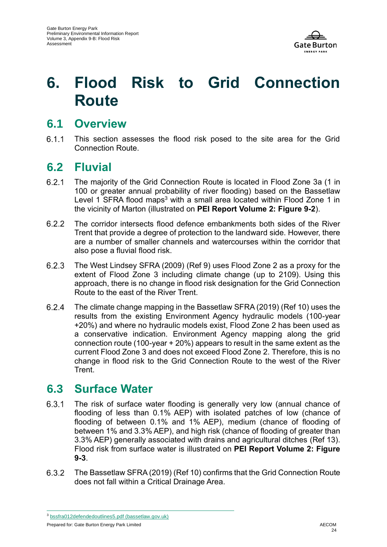

# **6. Flood Risk to Grid Connection Route**

### **6.1 Overview**

 $6.1.1$ This section assesses the flood risk posed to the site area for the Grid Connection Route.

### **6.2 Fluvial**

- $6.2.1$ The majority of the Grid Connection Route is located in Flood Zone 3a (1 in 100 or greater annual probability of river flooding) based on the Bassetlaw Level 1 SFRA flood maps<sup>3</sup> with a small area located within Flood Zone 1 in the vicinity of Marton (illustrated on **PEI Report Volume 2: Figure 9-2**).
- $6.2.2$ The corridor intersects flood defence embankments both sides of the River Trent that provide a degree of protection to the landward side. However, there are a number of smaller channels and watercourses within the corridor that also pose a fluvial flood risk.
- $6.2.3$ The West Lindsey SFRA (2009) (Ref 9) uses Flood Zone 2 as a proxy for the extent of Flood Zone 3 including climate change (up to 2109). Using this approach, there is no change in flood risk designation for the Grid Connection Route to the east of the River Trent.
- $6.2.4$ The climate change mapping in the Bassetlaw SFRA (2019) (Ref 10) uses the results from the existing Environment Agency hydraulic models (100-year +20%) and where no hydraulic models exist, Flood Zone 2 has been used as a conservative indication. Environment Agency mapping along the grid connection route (100-year + 20%) appears to result in the same extent as the current Flood Zone 3 and does not exceed Flood Zone 2. Therefore, this is no change in flood risk to the Grid Connection Route to the west of the River **Trent**

## **6.3 Surface Water**

- $6.3.1$ The risk of surface water flooding is generally very low (annual chance of flooding of less than 0.1% AEP) with isolated patches of low (chance of flooding of between 0.1% and 1% AEP), medium (chance of flooding of between 1% and 3.3% AEP), and high risk (chance of flooding of greater than 3.3% AEP) generally associated with drains and agricultural ditches (Ref 13). Flood risk from surface water is illustrated on **PEI Report Volume 2: Figure 9-3**.
- 6.3.2 The Bassetlaw SFRA (2019) (Ref 10) confirms that the Grid Connection Route does not fall within a Critical Drainage Area.

Prepared for: Gate Burton Energy Park Limited AECOM

<sup>3</sup> [bssfra012defendedoutlines5.pdf \(bassetlaw.gov.uk\)](https://www.bassetlaw.gov.uk/media/1971/bssfra012defendedoutlines5.pdf)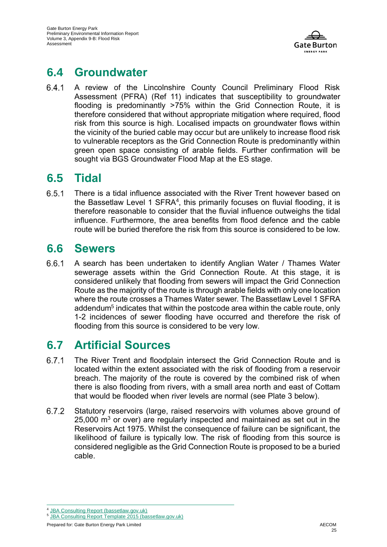

## **6.4 Groundwater**

 $6.4.1$ A review of the Lincolnshire County Council Preliminary Flood Risk Assessment (PFRA) (Ref 11) indicates that susceptibility to groundwater flooding is predominantly >75% within the Grid Connection Route, it is therefore considered that without appropriate mitigation where required, flood risk from this source is high. Localised impacts on groundwater flows within the vicinity of the buried cable may occur but are unlikely to increase flood risk to vulnerable receptors as the Grid Connection Route is predominantly within green open space consisting of arable fields. Further confirmation will be sought via BGS Groundwater Flood Map at the ES stage.

## **6.5 Tidal**

6.5.1 There is a tidal influence associated with the River Trent however based on the Bassetlaw Level 1 SFRA<sup>4</sup>, this primarily focuses on fluvial flooding, it is therefore reasonable to consider that the fluvial influence outweighs the tidal influence. Furthermore, the area benefits from flood defence and the cable route will be buried therefore the risk from this source is considered to be low.

## **6.6 Sewers**

6.6.1 A search has been undertaken to identify Anglian Water / Thames Water sewerage assets within the Grid Connection Route. At this stage, it is considered unlikely that flooding from sewers will impact the Grid Connection Route as the majority of the route is through arable fields with only one location where the route crosses a Thames Water sewer. The Bassetlaw Level 1 SFRA addendum<sup>5</sup> indicates that within the postcode area within the cable route, only 1-2 incidences of sewer flooding have occurred and therefore the risk of flooding from this source is considered to be very low.

## **6.7 Artificial Sources**

- 6.7.1 The River Trent and floodplain intersect the Grid Connection Route and is located within the extent associated with the risk of flooding from a reservoir breach. The majority of the route is covered by the combined risk of when there is also flooding from rivers, with a small area north and east of Cottam that would be flooded when river levels are normal (see Plate 3 below).
- 6.7.2 Statutory reservoirs (large, raised reservoirs with volumes above ground of  $25,000$  m<sup>3</sup> or over) are regularly inspected and maintained as set out in the Reservoirs Act 1975. Whilst the consequence of failure can be significant, the likelihood of failure is typically low. The risk of flooding from this source is considered negligible as the Grid Connection Route is proposed to be a buried cable.

<sup>4</sup> JBA [Consulting Report \(bassetlaw.gov.uk\)](https://www.bassetlaw.gov.uk/media/3802/bassetlaw-strategic-flood-risk-assessment.pdf)

<sup>5</sup> [JBA Consulting Report Template 2015 \(bassetlaw.gov.uk\)](https://www.bassetlaw.gov.uk/media/6503/bassetlaw-sfra-level-1-addendum-update-august-2021.pdf)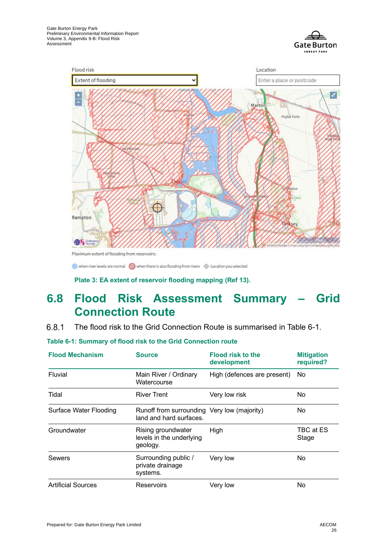



Maximum extent of flooding from reservoirs:

when river levels are normal W when there is also flooding from rivers  $\oplus$  Location you selected

**Plate 3: EA extent of reservoir flooding mapping (Ref 13).**

## **6.8 Flood Risk Assessment Summary – Grid Connection Route**

 $6.8.1$ The flood risk to the Grid Connection Route is summarised in Table 6-1.

<span id="page-25-0"></span>**Table 6-1: Summary of flood risk to the Grid Connection route** 

| <b>Flood Mechanism</b>        | <b>Source</b>                                                          | <b>Flood risk to the</b><br>development | <b>Mitigation</b><br>required? |
|-------------------------------|------------------------------------------------------------------------|-----------------------------------------|--------------------------------|
| Fluvial                       | Main River / Ordinary<br>Watercourse                                   | High (defences are present)             | No.                            |
| Tidal                         | <b>River Trent</b>                                                     | Very low risk                           | No.                            |
| <b>Surface Water Flooding</b> | Runoff from surrounding Very low (majority)<br>land and hard surfaces. |                                         | <b>No</b>                      |
| Groundwater                   | Rising groundwater<br>levels in the underlying<br>geology.             | High                                    | TBC at ES<br>Stage             |
| <b>Sewers</b>                 | Surrounding public /<br>private drainage<br>systems.                   | Very low                                | No                             |
| <b>Artificial Sources</b>     | <b>Reservoirs</b>                                                      | Very low                                | No                             |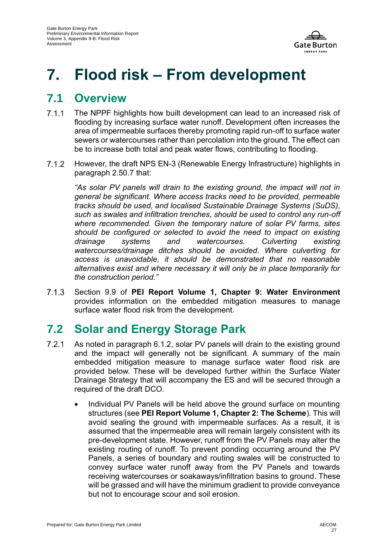

# **7. Flood risk – From development**

### **7.1 Overview**

- $7.1.1$ The NPPF highlights how built development can lead to an increased risk of flooding by increasing surface water runoff. Development often increases the area of impermeable surfaces thereby promoting rapid run-off to surface water sewers or watercourses rather than percolation into the ground. The effect can be to increase both total and peak water flows, contributing to flooding.
- $7.1.2$ However, the draft NPS EN-3 (Renewable Energy Infrastructure) highlights in paragraph 2.50.7 that:

*As solar PV panels will drain to the existing ground, the impact will not in general be significant. Where access tracks need to be provided, permeable tracks should be used, and localised Sustainable Drainage Systems (SuDS), such as swales and infiltration trenches, should be used to control any run-off where recommended. Given the temporary nature of solar PV farms, sites should be configured or selected to avoid the need to impact on existing drainage systems and watercourses. Culverting existing watercourses/drainage ditches should be avoided. Where culverting for access is unavoidable, it should be demonstrated that no reasonable alternatives exist and where necessary it will only be in place temporarily for the construction period."*

713 Section 9.9 of **PEI Report Volume 1, Chapter 9: Water Environment**  provides information on the embedded mitigation measures to manage surface water flood risk from the development.

## **7.2 Solar and Energy Storage Park**

- $7.2.1$ As noted in paragraph 6.1.2, solar PV panels will drain to the existing ground and the impact will generally not be significant. A summary of the main embedded mitigation measure to manage surface water flood risk are provided below. These will be developed further within the Surface Water Drainage Strategy that will accompany the ES and will be secured through a required of the draft DCO.
	- Individual PV Panels will be held above the ground surface on mounting structures (see **PEI Report Volume 1, Chapter 2: The Scheme**). This will avoid sealing the ground with impermeable surfaces. As a result, it is assumed that the impermeable area will remain largely consistent with its pre-development state. However, runoff from the PV Panels may alter the existing routing of runoff. To prevent ponding occurring around the PV Panels, a series of boundary and routing swales will be constructed to convey surface water runoff away from the PV Panels and towards receiving watercourses or soakaways/infiltration basins to ground. These will be grassed and will have the minimum gradient to provide conveyance but not to encourage scour and soil erosion.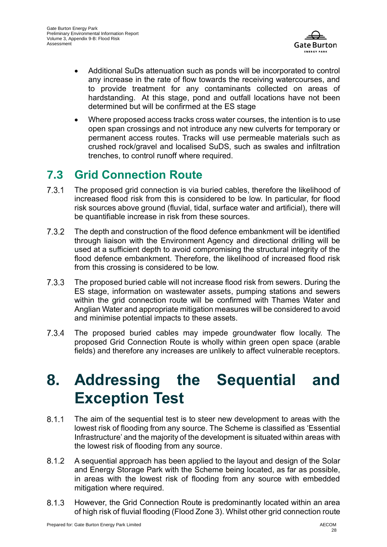

- Additional SuDs attenuation such as ponds will be incorporated to control any increase in the rate of flow towards the receiving watercourses, and to provide treatment for any contaminants collected on areas of hardstanding. At this stage, pond and outfall locations have not been determined but will be confirmed at the ES stage
- Where proposed access tracks cross water courses, the intention is to use open span crossings and not introduce any new culverts for temporary or permanent access routes. Tracks will use permeable materials such as crushed rock/gravel and localised SuDS, such as swales and infiltration trenches, to control runoff where required.

## **7.3 Grid Connection Route**

- $7.3.1$ The proposed grid connection is via buried cables, therefore the likelihood of increased flood risk from this is considered to be low. In particular, for flood risk sources above ground (fluvial, tidal, surface water and artificial), there will be quantifiable increase in risk from these sources.
- $7.3.2$ The depth and construction of the flood defence embankment will be identified through liaison with the Environment Agency and directional drilling will be used at a sufficient depth to avoid compromising the structural integrity of the flood defence embankment. Therefore, the likelihood of increased flood risk from this crossing is considered to be low.
- $7.3.3$ The proposed buried cable will not increase flood risk from sewers. During the ES stage, information on wastewater assets, pumping stations and sewers within the grid connection route will be confirmed with Thames Water and Anglian Water and appropriate mitigation measures will be considered to avoid and minimise potential impacts to these assets.
- $7.3.4$ The proposed buried cables may impede groundwater flow locally. The proposed Grid Connection Route is wholly within green open space (arable fields) and therefore any increases are unlikely to affect vulnerable receptors.

# **8. Addressing the Sequential and Exception Test**

- $8.1.1$ The aim of the sequential test is to steer new development to areas with the lowest risk of flooding from any source. The Scheme is classified as 'Essential Infrastructure' and the majority of the development is situated within areas with the lowest risk of flooding from any source.
- $8.1.2$ A sequential approach has been applied to the layout and design of the Solar and Energy Storage Park with the Scheme being located, as far as possible, in areas with the lowest risk of flooding from any source with embedded mitigation where required.
- 8.1.3 However, the Grid Connection Route is predominantly located within an area of high risk of fluvial flooding (Flood Zone 3). Whilst other grid connection route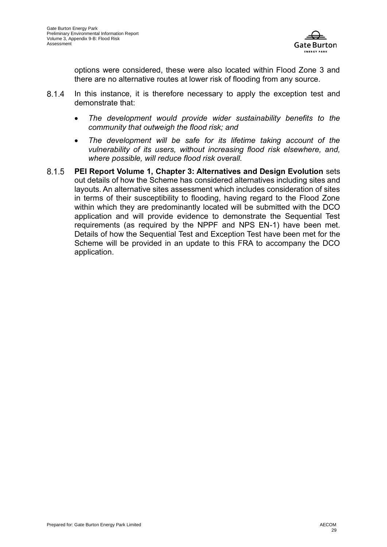

options were considered, these were also located within Flood Zone 3 and there are no alternative routes at lower risk of flooding from any source.

- 8.1.4 In this instance, it is therefore necessary to apply the exception test and demonstrate that:
	- *The development would provide wider sustainability benefits to the community that outweigh the flood risk; and*
	- *The development will be safe for its lifetime taking account of the vulnerability of its users, without increasing flood risk elsewhere, and, where possible, will reduce flood risk overall.*
- **PEI Report Volume 1, Chapter 3: Alternatives and Design Evolution** sets  $8.1.5$ out details of how the Scheme has considered alternatives including sites and layouts. An alternative sites assessment which includes consideration of sites in terms of their susceptibility to flooding, having regard to the Flood Zone within which they are predominantly located will be submitted with the DCO application and will provide evidence to demonstrate the Sequential Test requirements (as required by the NPPF and NPS EN-1) have been met. Details of how the Sequential Test and Exception Test have been met for the Scheme will be provided in an update to this FRA to accompany the DCO application.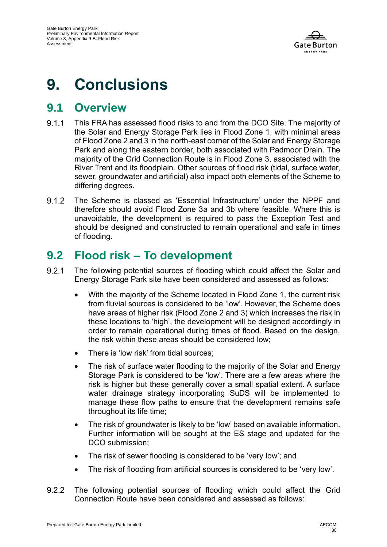

# **9. Conclusions**

### **9.1 Overview**

- 911 This FRA has assessed flood risks to and from the DCO Site. The majority of the Solar and Energy Storage Park lies in Flood Zone 1, with minimal areas of Flood Zone 2 and 3 in the north-east corner of the Solar and Energy Storage Park and along the eastern border, both associated with Padmoor Drain. The majority of the Grid Connection Route is in Flood Zone 3, associated with the River Trent and its floodplain. Other sources of flood risk (tidal, surface water, sewer, groundwater and artificial) also impact both elements of the Scheme to differing degrees.
- $9.1.2$ The Scheme is classed as 'Essential Infrastructure' under the NPPF and therefore should avoid Flood Zone 3a and 3b where feasible. Where this is unavoidable, the development is required to pass the Exception Test and should be designed and constructed to remain operational and safe in times of flooding.

### **9.2 Flood risk – To development**

- $921$ The following potential sources of flooding which could affect the Solar and Energy Storage Park site have been considered and assessed as follows:
	- With the majority of the Scheme located in Flood Zone 1, the current risk from fluvial sources is considered to be 'low'. However, the Scheme does have areas of higher risk (Flood Zone 2 and 3) which increases the risk in these locations to 'high', the development will be designed accordingly in order to remain operational during times of flood. Based on the design, the risk within these areas should be considered low;
	- There is 'low risk' from tidal sources:
	- The risk of surface water flooding to the majority of the Solar and Energy Storage Park is considered to be 'low'. There are a few areas where the risk is higher but these generally cover a small spatial extent. A surface water drainage strategy incorporating SuDS will be implemented to manage these flow paths to ensure that the development remains safe throughout its life time;
	- The risk of groundwater is likely to be 'low' based on available information. Further information will be sought at the ES stage and updated for the DCO submission;
	- The risk of sewer flooding is considered to be 'very low'; and
	- The risk of flooding from artificial sources is considered to be 'very low'.
- $9.2.2$ The following potential sources of flooding which could affect the Grid Connection Route have been considered and assessed as follows: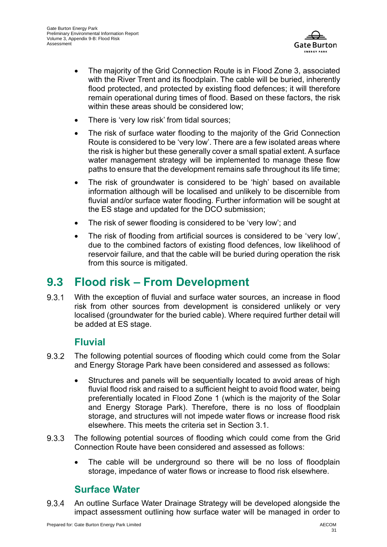

- The majority of the Grid Connection Route is in Flood Zone 3, associated with the River Trent and its floodplain. The cable will be buried, inherently flood protected, and protected by existing flood defences; it will therefore remain operational during times of flood. Based on these factors, the risk within these areas should be considered low:
- There is 'very low risk' from tidal sources;
- The risk of surface water flooding to the majority of the Grid Connection Route is considered to be 'very low'. There are a few isolated areas where the risk is higher but these generally cover a small spatial extent. A surface water management strategy will be implemented to manage these flow paths to ensure that the development remains safe throughout its life time;
- The risk of groundwater is considered to be 'high' based on available information although will be localised and unlikely to be discernible from fluvial and/or surface water flooding. Further information will be sought at the ES stage and updated for the DCO submission;
- The risk of sewer flooding is considered to be 'very low'; and
- The risk of flooding from artificial sources is considered to be 'very low', due to the combined factors of existing flood defences, low likelihood of reservoir failure, and that the cable will be buried during operation the risk from this source is mitigated.

### **9.3 Flood risk – From Development**

9.3.1 With the exception of fluvial and surface water sources, an increase in flood risk from other sources from development is considered unlikely or very localised (groundwater for the buried cable). Where required further detail will be added at ES stage.

### **Fluvial**

- 9.3.2 The following potential sources of flooding which could come from the Solar and Energy Storage Park have been considered and assessed as follows:
	- Structures and panels will be sequentially located to avoid areas of high fluvial flood risk and raised to a sufficient height to avoid flood water, being preferentially located in Flood Zone 1 (which is the majority of the Solar and Energy Storage Park). Therefore, there is no loss of floodplain storage, and structures will not impede water flows or increase flood risk elsewhere. This meets the criteria set in Section 3.1.
- 9.3.3 The following potential sources of flooding which could come from the Grid Connection Route have been considered and assessed as follows:
	- The cable will be underground so there will be no loss of floodplain storage, impedance of water flows or increase to flood risk elsewhere.

### **Surface Water**

9.3.4 An outline Surface Water Drainage Strategy will be developed alongside the impact assessment outlining how surface water will be managed in order to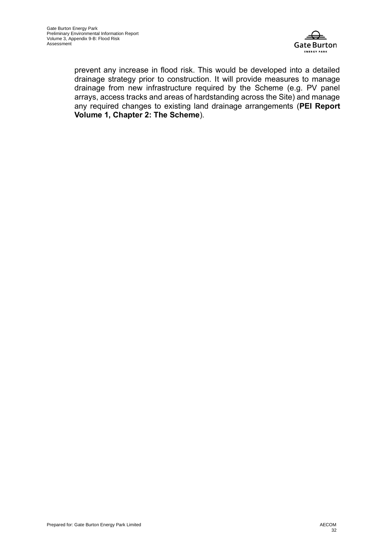

prevent any increase in flood risk. This would be developed into a detailed drainage strategy prior to construction. It will provide measures to manage drainage from new infrastructure required by the Scheme (e.g. PV panel arrays, access tracks and areas of hardstanding across the Site) and manage any required changes to existing land drainage arrangements (**PEI Report Volume 1, Chapter 2: The Scheme**).